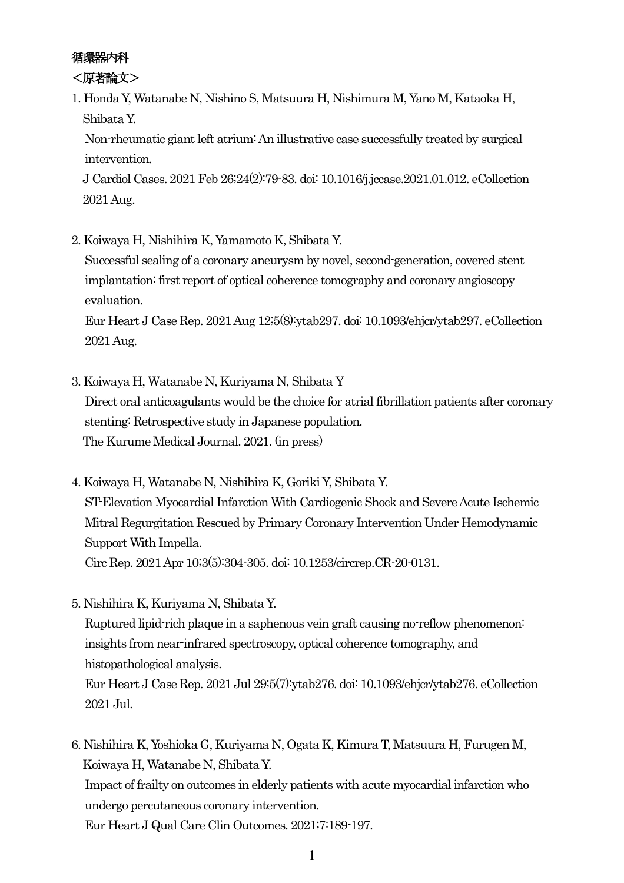# 循環器内科

<原著論文>

1. Honda Y, Watanabe N, Nishino S, Matsuura H, Nishimura M, Yano M, Kataoka H, Shibata Y.

Non-rheumatic giant left atrium: An illustrative case successfully treated by surgical intervention.

J Cardiol Cases. 2021 Feb 26;24(2):79-83. doi: 10.1016/j.jccase.2021.01.012. eCollection 2021 Aug.

2. Koiwaya H, Nishihira K, Yamamoto K, Shibata Y.

Successful sealing of a coronary aneurysm by novel, second-generation, covered stent implantation: first report of optical coherence tomography and coronary angioscopy evaluation.

Eur Heart J Case Rep. 2021 Aug 12;5(8):ytab297. doi: 10.1093/ehjcr/ytab297. eCollection 2021 Aug.

- 3. Koiwaya H, Watanabe N, Kuriyama N, Shibata Y Direct oral anticoagulants would be the choice for atrial fibrillation patients after coronary stenting: Retrospective study in Japanese population. The Kurume Medical Journal. 2021. (in press)
- 4. Koiwaya H, Watanabe N, Nishihira K, Goriki Y, Shibata Y. ST-Elevation Myocardial Infarction With Cardiogenic Shock and Severe Acute Ischemic Mitral Regurgitation Rescued by Primary Coronary Intervention Under Hemodynamic Support With Impella. Circ Rep. 2021 Apr 10;3(5):304-305. doi: 10.1253/circrep.CR-20-0131.
- 5. Nishihira K, Kuriyama N, Shibata Y.

Ruptured lipid-rich plaque in a saphenous vein graft causing no-reflow phenomenon: insights from near-infrared spectroscopy, optical coherence tomography, and histopathological analysis.

Eur Heart J Case Rep. 2021 Jul 29;5(7):ytab276. doi: 10.1093/ehjcr/ytab276. eCollection 2021 Jul.

6. Nishihira K, Yoshioka G, Kuriyama N, Ogata K, Kimura T, Matsuura H, Furugen M, Koiwaya H, Watanabe N, Shibata Y. Impact of frailty on outcomes in elderly patients with acute myocardial infarction who undergo percutaneous coronary intervention. Eur Heart J Qual Care Clin Outcomes. 2021;7:189-197.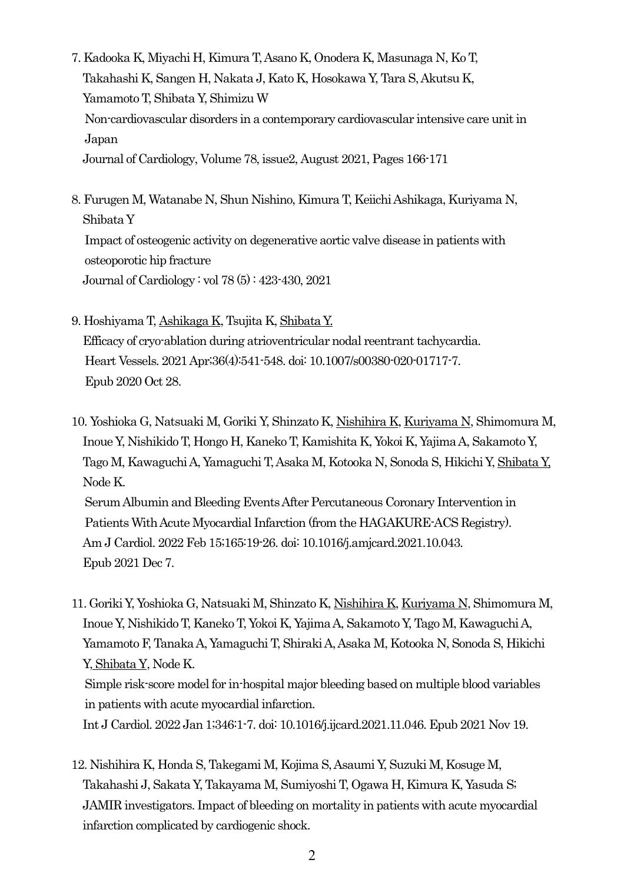- 7. Kadooka K, Miyachi H, Kimura T,Asano K, Onodera K, Masunaga N, Ko T, Takahashi K, Sangen H, Nakata J, Kato K, Hosokawa Y, Tara S,Akutsu K, Yamamoto T, Shibata Y, Shimizu W Non-cardiovascular disorders in a contemporary cardiovascular intensive care unit in Japan Journal of Cardiology, Volume 78, issue2, August 2021, Pages 166-171
- 8. Furugen M, Watanabe N, Shun Nishino, Kimura T, Keiichi Ashikaga, Kuriyama N, Shibata Y Impact of osteogenic activity on degenerative aortic valve disease in patients with osteoporotic hip fracture Journal of Cardiology : vol 78 (5) : 423-430, 2021
- 9. Hoshiyama T, Ashikaga K, Tsujita K, Shibata Y. Efficacy of cryo-ablation during atrioventricular nodal reentrant tachycardia. Heart Vessels. 2021 Apr;36(4):541-548. doi: 10.1007/s00380-020-01717-7. Epub 2020 Oct 28.
- 10. Yoshioka G, Natsuaki M, Goriki Y, Shinzato K, Nishihira K, Kuriyama N, Shimomura M, Inoue Y, Nishikido T, Hongo H, Kaneko T, Kamishita K, Yokoi K, Yajima A, Sakamoto Y, Tago M, Kawaguchi A, Yamaguchi T, Asaka M, Kotooka N, Sonoda S, Hikichi Y, Shibata Y, Node K. Serum Albumin and Bleeding Events After Percutaneous Coronary Intervention in Patients With Acute Myocardial Infarction (from the HAGAKURE-ACS Registry). Am J Cardiol. 2022 Feb 15;165:19-26. doi: 10.1016/j.amjcard.2021.10.043. Epub 2021 Dec 7.
- 11. Goriki Y, Yoshioka G, Natsuaki M, Shinzato K, Nishihira K, Kuriyama N, Shimomura M, Inoue Y, Nishikido T, Kaneko T, Yokoi K, Yajima A, Sakamoto Y, Tago M, Kawaguchi A, Yamamoto F, Tanaka A, Yamaguchi T, Shiraki A, Asaka M, Kotooka N, Sonoda S, Hikichi Y, Shibata Y, Node K. Simple risk-score model for in-hospital major bleeding based on multiple blood variables in patients with acute myocardial infarction.

Int J Cardiol. 2022 Jan 1;346:1-7. doi: 10.1016/j.ijcard.2021.11.046. Epub 2021 Nov 19.

12. Nishihira K, Honda S, Takegami M, Kojima S, Asaumi Y, Suzuki M, Kosuge M, Takahashi J, Sakata Y, Takayama M, Sumiyoshi T, Ogawa H, Kimura K, Yasuda S; JAMIR investigators. Impact of bleeding on mortality in patients with acute myocardial infarction complicated by cardiogenic shock.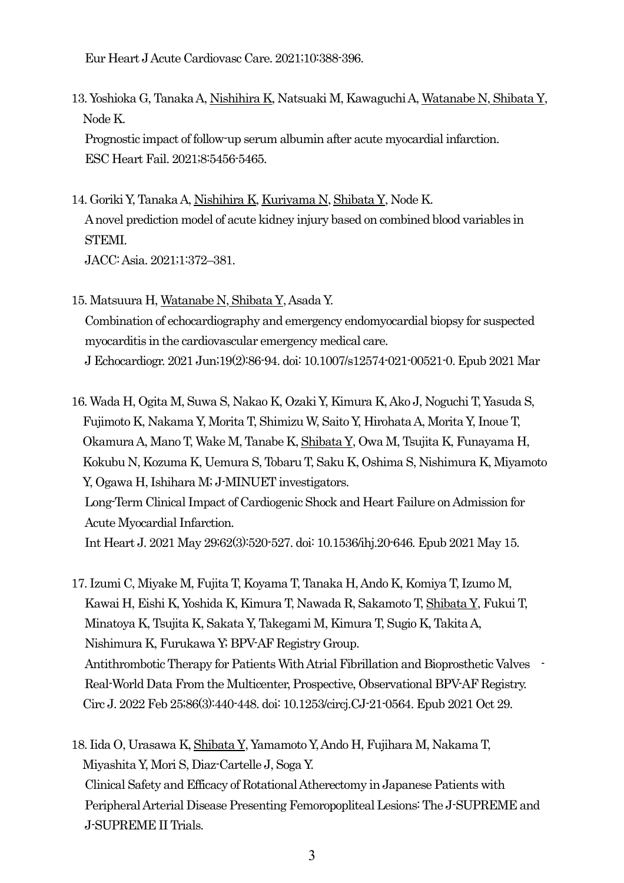Eur Heart J Acute Cardiovasc Care. 2021;10:388-396.

13. Yoshioka G, Tanaka A, Nishihira K, Natsuaki M, Kawaguchi A, Watanabe N, Shibata Y, Node K.

Prognostic impact of follow-up serum albumin after acute myocardial infarction. ESC Heart Fail. 2021;8:5456-5465.

- 14. Goriki Y, Tanaka A, Nishihira K, Kuriyama N, Shibata Y, Node K. A novel prediction model of acute kidney injury based on combined blood variables in STEMI. JACC: Asia. 2021;1:372–381.
- 15. Matsuura H, Watanabe N, Shibata Y, Asada Y. Combination of echocardiography and emergency endomyocardial biopsy for suspected myocarditis in the cardiovascular emergency medical care. J Echocardiogr. 2021 Jun;19(2):86-94. doi: 10.1007/s12574-021-00521-0. Epub 2021 Mar

16. Wada H, Ogita M, Suwa S, Nakao K, Ozaki Y, Kimura K, Ako J, Noguchi T, Yasuda S, Fujimoto K, Nakama Y, Morita T, Shimizu W, Saito Y, Hirohata A, Morita Y, Inoue T, Okamura A, Mano T, Wake M, Tanabe K, Shibata Y, Owa M, Tsujita K, Funayama H, Kokubu N, Kozuma K, Uemura S, Tobaru T, Saku K, Oshima S, Nishimura K, Miyamoto Y, Ogawa H, Ishihara M; J-MINUET investigators. Long-Term Clinical Impact of Cardiogenic Shock and Heart Failure on Admission for Acute Myocardial Infarction. Int Heart J. 2021 May 29;62(3):520-527. doi: 10.1536/ihj.20-646. Epub 2021 May 15.

17. Izumi C, Miyake M, Fujita T, Koyama T, Tanaka H, Ando K, Komiya T, Izumo M, Kawai H, Eishi K, Yoshida K, Kimura T, Nawada R, Sakamoto T, Shibata Y, Fukui T, Minatoya K, Tsujita K, Sakata Y, Takegami M, Kimura T, Sugio K, Takita A, Nishimura K, Furukawa Y; BPV-AF Registry Group. Antithrombotic Therapy for Patients With Atrial Fibrillation and Bioprosthetic Valves - Real-World Data From the Multicenter, Prospective, Observational BPV-AF Registry. Circ J. 2022 Feb 25;86(3):440-448. doi: 10.1253/circj.CJ-21-0564. Epub 2021 Oct 29.

18. Iida O, Urasawa K, Shibata Y, Yamamoto Y, Ando H, Fujihara M, Nakama T, Miyashita Y, Mori S, Diaz-Cartelle J, Soga Y. Clinical Safety and Efficacy of Rotational Atherectomy in Japanese Patients with Peripheral Arterial Disease Presenting Femoropopliteal Lesions: The J-SUPREME and J-SUPREME II Trials.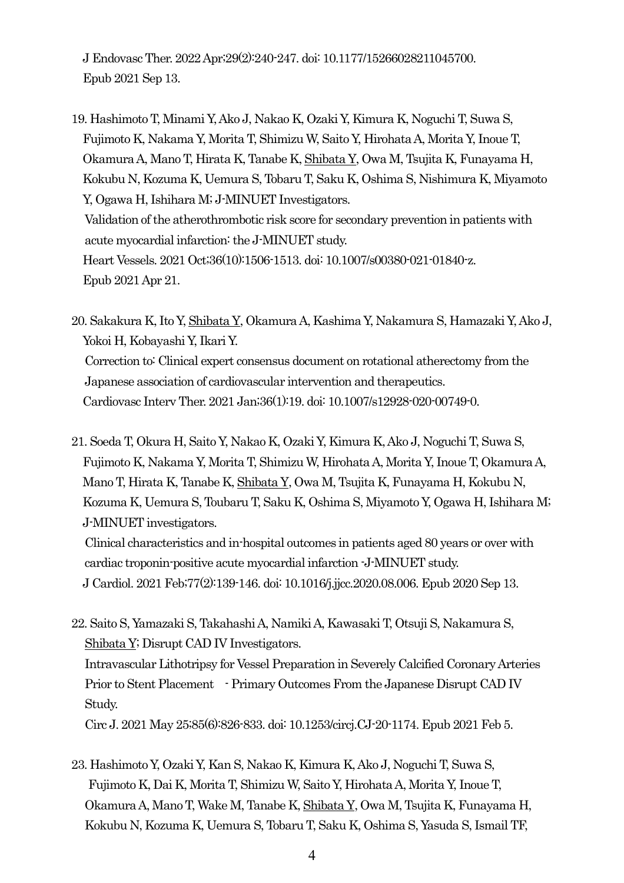J Endovasc Ther. 2022 Apr;29(2):240-247. doi: 10.1177/15266028211045700. Epub 2021 Sep 13.

19. Hashimoto T, Minami Y, Ako J, Nakao K, Ozaki Y, Kimura K, Noguchi T, Suwa S, Fujimoto K, Nakama Y, Morita T, Shimizu W, Saito Y, Hirohata A, Morita Y, Inoue T, Okamura A, Mano T, Hirata K, Tanabe K, Shibata Y, Owa M, Tsujita K, Funayama H, Kokubu N, Kozuma K, Uemura S, Tobaru T, Saku K, Oshima S, Nishimura K, Miyamoto Y, Ogawa H, Ishihara M; J-MINUET Investigators. Validation of the atherothrombotic risk score for secondary prevention in patients with acute myocardial infarction: the J-MINUET study. Heart Vessels. 2021 Oct;36(10):1506-1513. doi: 10.1007/s00380-021-01840-z. Epub 2021 Apr 21.

20. Sakakura K, Ito Y, Shibata Y, Okamura A, Kashima Y, Nakamura S, Hamazaki Y, Ako J, Yokoi H, Kobayashi Y, Ikari Y. Correction to: Clinical expert consensus document on rotational atherectomy from the Japanese association of cardiovascular intervention and therapeutics. Cardiovasc Interv Ther. 2021 Jan;36(1):19. doi: 10.1007/s12928-020-00749-0.

21. Soeda T, Okura H, Saito Y, Nakao K, Ozaki Y, Kimura K, Ako J, Noguchi T, Suwa S, Fujimoto K, Nakama Y, Morita T, Shimizu W, Hirohata A, Morita Y, Inoue T, Okamura A, Mano T, Hirata K, Tanabe K, Shibata Y, Owa M, Tsujita K, Funayama H, Kokubu N, Kozuma K, Uemura S, Toubaru T, Saku K, Oshima S, Miyamoto Y, Ogawa H, Ishihara M; J-MINUET investigators.

Clinical characteristics and in-hospital outcomes in patients aged 80 years or over with cardiac troponin-positive acute myocardial infarction -J-MINUET study. J Cardiol. 2021 Feb;77(2):139-146. doi: 10.1016/j.jjcc.2020.08.006. Epub 2020 Sep 13.

- 22. Saito S, Yamazaki S, Takahashi A, Namiki A, Kawasaki T, Otsuji S, Nakamura S, Shibata Y; Disrupt CAD IV Investigators. Intravascular Lithotripsy for Vessel Preparation in Severely Calcified Coronary Arteries Prior to Stent Placement - Primary Outcomes From the Japanese Disrupt CAD IV Study. Circ J. 2021 May 25;85(6):826-833. doi: 10.1253/circj.CJ-20-1174. Epub 2021 Feb 5.
- 23. Hashimoto Y, Ozaki Y, Kan S, Nakao K, Kimura K, Ako J, Noguchi T, Suwa S, Fujimoto K, Dai K, Morita T, Shimizu W, Saito Y, Hirohata A, Morita Y, Inoue T, Okamura A, Mano T, Wake M, Tanabe K, Shibata Y, Owa M, Tsujita K, Funayama H, Kokubu N, Kozuma K, Uemura S, Tobaru T, Saku K, Oshima S, Yasuda S, Ismail TF,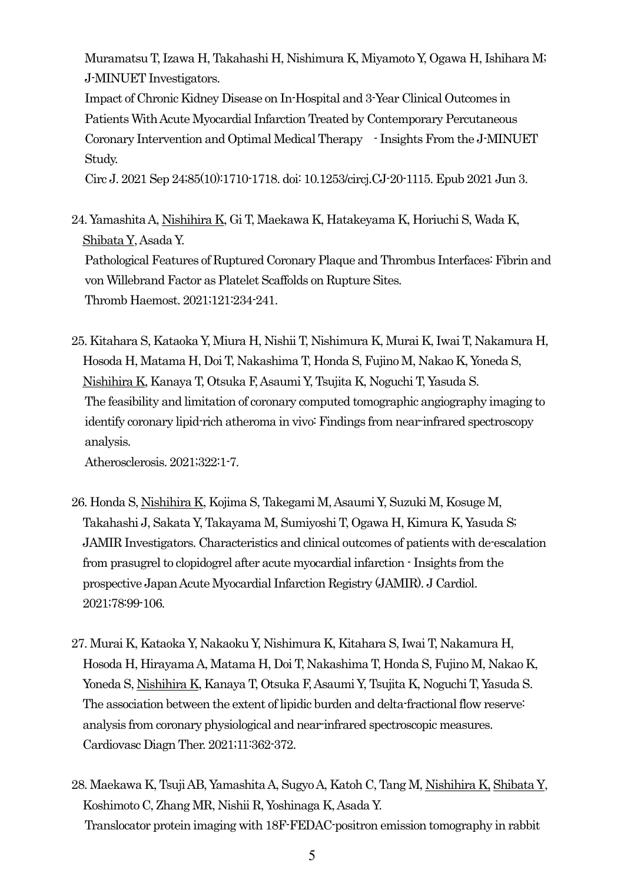Muramatsu T, Izawa H, Takahashi H, Nishimura K, Miyamoto Y, Ogawa H, Ishihara M; J-MINUET Investigators.

Impact of Chronic Kidney Disease on In-Hospital and 3-Year Clinical Outcomes in Patients With Acute Myocardial Infarction Treated by Contemporary Percutaneous Coronary Intervention and Optimal Medical Therapy - Insights From the J-MINUET Study.

Circ J. 2021 Sep 24;85(10):1710-1718. doi: 10.1253/circj.CJ-20-1115. Epub 2021 Jun 3.

24. Yamashita A, Nishihira K, Gi T, Maekawa K, Hatakeyama K, Horiuchi S, Wada K, Shibata Y, Asada Y. Pathological Features of Ruptured Coronary Plaque and Thrombus Interfaces: Fibrin and von Willebrand Factor as Platelet Scaffolds on Rupture Sites. Thromb Haemost. 2021;121:234-241.

25. Kitahara S, Kataoka Y, Miura H, Nishii T, Nishimura K, Murai K, Iwai T, Nakamura H, Hosoda H, Matama H, Doi T, Nakashima T, Honda S, Fujino M, Nakao K, Yoneda S, Nishihira K, Kanaya T, Otsuka F, Asaumi Y, Tsujita K, Noguchi T, Yasuda S. The feasibility and limitation of coronary computed tomographic angiography imaging to identify coronary lipid-rich atheroma in vivo: Findings from near-infrared spectroscopy analysis.

Atherosclerosis. 2021;322:1-7.

- 26. Honda S, Nishihira K, Kojima S, Takegami M, Asaumi Y, Suzuki M, Kosuge M, Takahashi J, Sakata Y, Takayama M, Sumiyoshi T, Ogawa H, Kimura K, Yasuda S; JAMIR Investigators. Characteristics and clinical outcomes of patients with de-escalation from prasugrel to clopidogrel after acute myocardial infarction - Insights from the prospective Japan Acute Myocardial Infarction Registry (JAMIR). J Cardiol. 2021;78:99-106.
- 27. Murai K, Kataoka Y, Nakaoku Y, Nishimura K, Kitahara S, Iwai T, Nakamura H, Hosoda H, Hirayama A, Matama H, Doi T, Nakashima T, Honda S, Fujino M, Nakao K, Yoneda S, Nishihira K, Kanaya T, Otsuka F, Asaumi Y, Tsujita K, Noguchi T, Yasuda S. The association between the extent of lipidic burden and delta-fractional flow reserve: analysis from coronary physiological and near-infrared spectroscopic measures. Cardiovasc Diagn Ther. 2021;11:362-372.
- 28. Maekawa K, Tsuji AB, Yamashita A, Sugyo A, Katoh C, Tang M, Nishihira K, Shibata Y, Koshimoto C, Zhang MR, Nishii R, Yoshinaga K, Asada Y. Translocator protein imaging with 18F-FEDAC-positron emission tomography in rabbit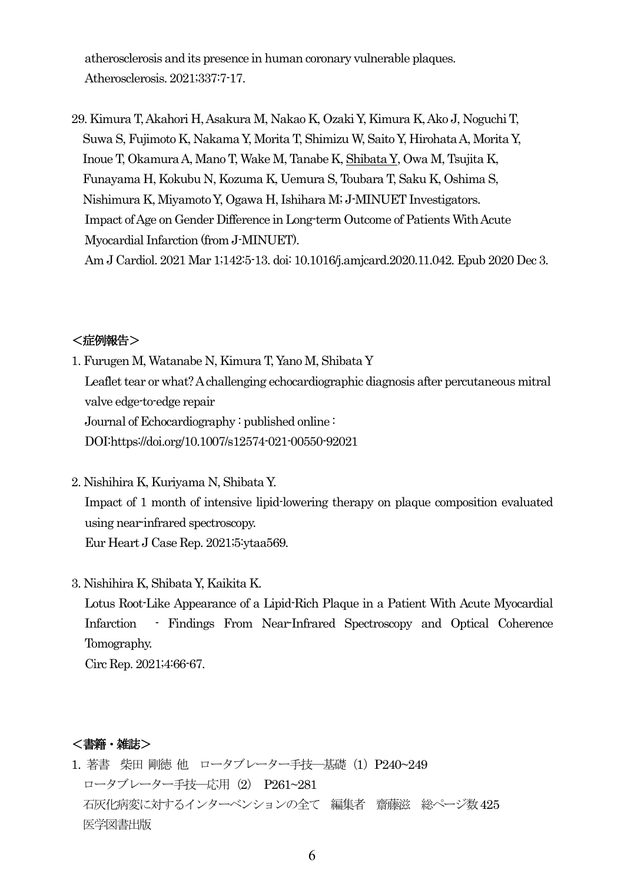atherosclerosis and its presence in human coronary vulnerable plaques. Atherosclerosis. 2021;337:7-17.

29. Kimura T, Akahori H, Asakura M, Nakao K, Ozaki Y, Kimura K, Ako J, Noguchi T, Suwa S, Fujimoto K, Nakama Y, Morita T, Shimizu W, Saito Y, Hirohata A, Morita Y, Inoue T, Okamura A, Mano T, Wake M, Tanabe K, Shibata Y, Owa M, Tsujita K, Funayama H, Kokubu N, Kozuma K, Uemura S, Toubara T, Saku K, Oshima S, Nishimura K, Miyamoto Y, Ogawa H, Ishihara M; J-MINUET Investigators. Impact of Age on Gender Difference in Long-term Outcome of Patients With Acute Myocardial Infarction (from J-MINUET). Am J Cardiol. 2021 Mar 1;142:5-13. doi: 10.1016/j.amjcard.2020.11.042. Epub 2020 Dec 3.

## <症例報告>

- 1. Furugen M, Watanabe N, Kimura T, Yano M, Shibata Y Leaflet tear or what? A challenging echocardiographic diagnosis after percutaneous mitral valve edge-to-edge repair Journal of Echocardiography : published online : DO[I:https://doi.org/10.1007/s12574-021-00550-92](https://doi.org/10.1007/s12574-021-00550-9)021
- 2. Nishihira K, Kuriyama N, Shibata Y. Impact of 1 month of intensive lipid-lowering therapy on plaque composition evaluated using near-infrared spectroscopy. Eur Heart J Case Rep. 2021;5:ytaa569.
- 3. Nishihira K, Shibata Y, Kaikita K.

Lotus Root-Like Appearance of a Lipid-Rich Plaque in a Patient With Acute Myocardial Infarction - Findings From Near-Infrared Spectroscopy and Optical Coherence Tomography.

Circ Rep. 2021;4:66-67.

## <書籍・雑誌>

1. 著書 柴田 剛徳 他 ロータブレーター手技―基礎(1)P240~249 ロータブレーター手技―応用(2) P261~281 石灰化病変に対するインターベンションの全て 編集者 齋藤滋 総ページ数425 医学図書出版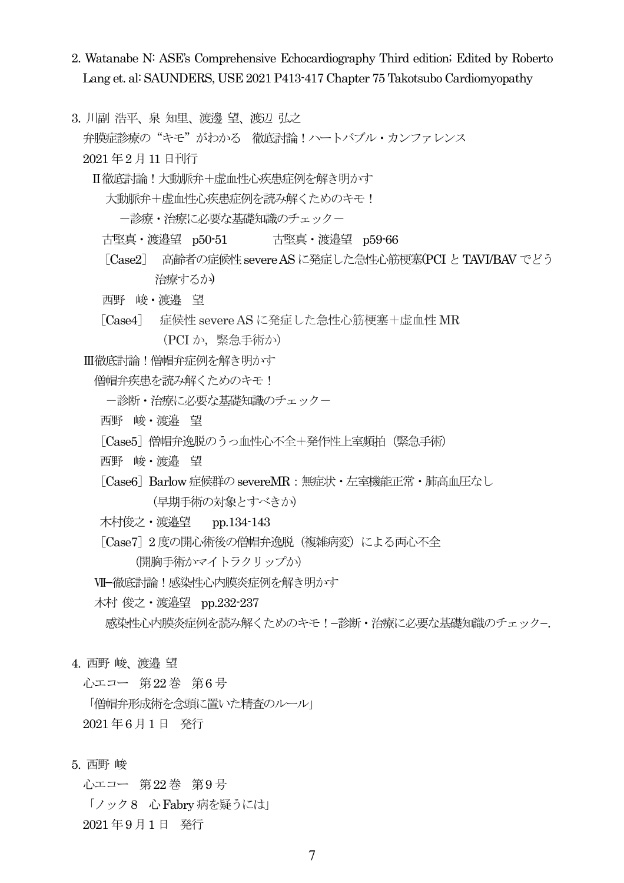- 2. Watanabe N: ASE's Comprehensive Echocardiography Third edition; Edited by Roberto Lang et. al: SAUNDERS, USE 2021 P413-417 Chapter 75 Takotsubo Cardiomyopathy
- 3. 川副 浩平、泉 知里、渡邊 望、渡辺 弘之

弁膜症診療の "キモ"がわかる 徹底計論!ハートバブル・カンファレンス

2021 年2 月11 日刊行

Ⅱ徹底討論!大動脈弁+虚血性心疾患症例を解き明かす

大動脈弁+虚血性心疾患症例を読み解くためのキモ!

一診療・治療に必要な基礎知識のチェックー

古堅真・渡邉望 p50-51 古堅真・渡邉望 p59-66

[Case2] 高齢者の症候性severe ASに発症した急性心筋梗塞(PCI とTAVI/BAV でどう 治療するか)

- 西野 峻・渡邉 望
- [Case4] 症候性 severe AS に発症した急性心筋梗塞+虚血性 MR (PCI か,緊急手術か)

Ⅲ徹底討論!僧帽弁症例を解き明かす

僧帽弁疾患を読み解くためのキモ!

- 一診断・治療に必要な基礎知識のチェックー
- 西野 峻・渡邉 望
- [Case5]僧帽弁逸脱のうっ血性心不全+発作性上室頻拍(緊急手術)
- 西野 峻・渡邉 望
- 「Case6] Barlow 症候群の severeMR: 無症状・左室機能正常・肺高血圧なし (早期手術の対象とすべきか)
- 木村俊之・渡邉望 pp.134-143
- [Case7] 2 度の開心術後の僧帽弁逸脱 (複雑病変) による両心不全 (開胸手術かマイトラクリップか)
- Ⅶ−徹底討論!感染性心内膜炎症例を解き明かす
- 木村 俊之・渡邉望 pp.232-237

感染性心内膜炎症例を読み解くためのキモ!−診断・治療に必要な基礎知識のチェック−.

- 4. 西野 峻、渡邉 望
	- 心エコー 第22 巻 第6 号

「僧帽弁形成術を念頭に置いた精査のルール」 2021 年6 月1 日 発行

5. 西野 峻

心エコー 第22 巻 第9 号 「ノック8 心Fabry病を疑うには」

2021 年9 月1 日 発行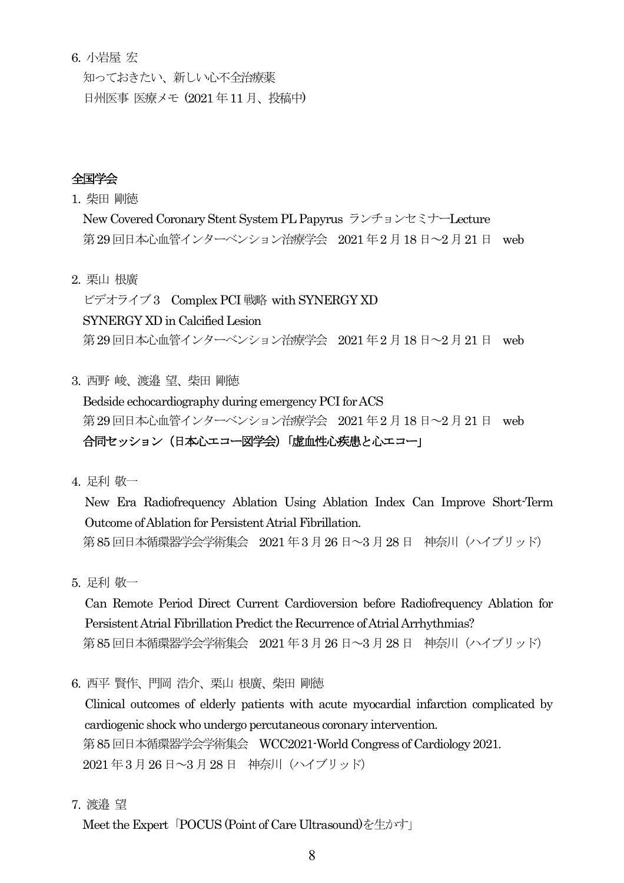6. 小岩屋 宏

知っておきたい、新しい心不全治療薬 日州医事 医療メモ (2021 年11 月、投稿中)

## 全国学会

1. 柴田 剛徳

New Covered Coronary Stent System PL Papyrus ランチョンセミナーLecture 第29回日本心血管インターベンション治療学会 2021年2月18日~2月21日 web

2. 栗山 根廣

ビデオライブ3 Complex PCI 戦略 with SYNERGY XD SYNERGY XD in Calcified Lesion 第29回日本心血管インターベンション治療学会 2021年2月18日~2月21日 web

3. 西野 峻、渡邉 望、柴田 剛徳

Bedside echocardiography during emergency PCI for ACS 第29回日本心血管インターベンション治療学会 2021年2月18日~2月21日 web 合同セッション(日本心エコー図学会)「虚血性心疾患と心エコー」

4. 足利 敬一

New Era Radiofrequency Ablation Using Ablation Index Can Improve Short-Term Outcome of Ablation for Persistent Atrial Fibrillation. 第85 回日本循環器学会学術集会 2021 年3 月26 日~3 月28日 神奈川(ハイブリッド)

5. 足利 敬一

Can Remote Period Direct Current Cardioversion before Radiofrequency Ablation for Persistent Atrial Fibrillation Predict the Recurrence of Atrial Arrhythmias? 第85 回日本循環器学会学術集会 2021 年3 月26 日~3 月28日 神奈川(ハイブリッド)

6. 西平 賢作、門岡 浩介、栗山 根廣、柴田 剛徳

Clinical outcomes of elderly patients with acute myocardial infarction complicated by cardiogenic shock who undergo percutaneous coronary intervention. 第85 回日本循環器学会学術集会 WCC2021-World Congress of Cardiology 2021. 2021 年3 月26日~3 月28 日 神奈川(ハイブリッド)

7. 渡邉 望

Meet the Expert「POCUS (Point of Care Ultrasound)を生かす」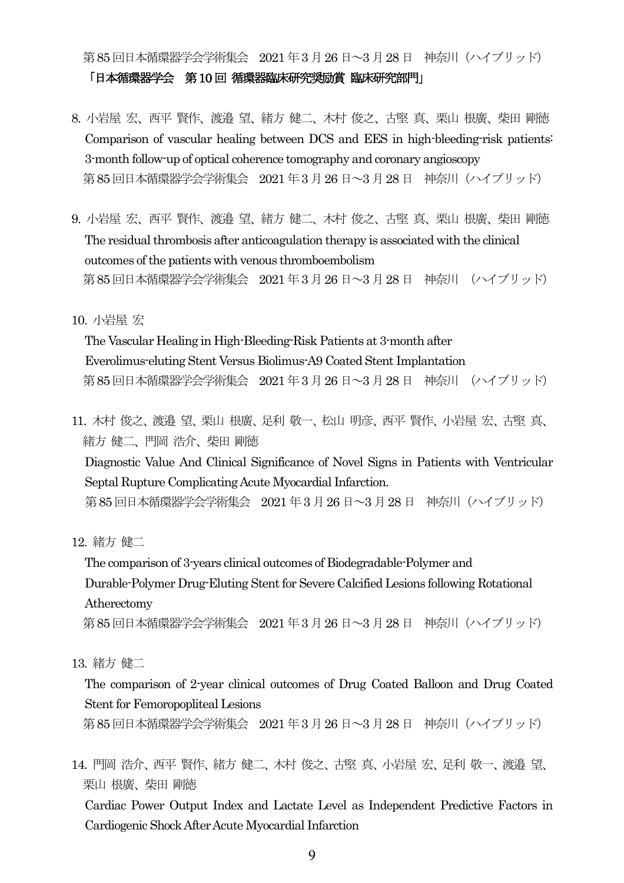## 第85 回日本循環器学会学術集会 2021 年3 月26 日~3 月28日 神奈川(ハイブリッド)

「日本循環器学会 第10 回 循環器臨床研究奨励賞 臨床研究部門」

- 8. 小岩屋 宏、西平 賢作、渡邉 望、緒方 健二、木村 俊之、古堅 真、栗山 根廣、柴田 剛徳 Comparison of vascular healing between DCS and EES in high-bleeding-risk patients: 3-month follow-up of optical coherence tomography and coronary angioscopy 第85 回日本循環器学会学術集会 2021 年3 月26 日~3 月28日 神奈川(ハイブリッド)
- 9. 小岩屋 宏、西平 賢作、渡邉 望、緒方 健二、木村 俊之、古堅 真、栗山 根廣、柴田 剛徳 The residual thrombosis after anticoagulation therapy is associated with the clinical outcomes of the patients with venous thromboembolism 第85 回日本循環器学会学術集会 2021 年3 月26 日~3 月28日 神奈川 (ハイブリッド)

10. 小岩屋 宏

The Vascular Healing in High-Bleeding-Risk Patients at 3-month after Everolimus-eluting Stent Versus Biolimus-A9 Coated Stent Implantation 第85 回日本循環器学会学術集会 2021 年3 月26 日~3 月28日 神奈川 (ハイブリッド)

11. 木村 俊之、渡邉 望、栗山 根廣、足利 敬一、松山 明彦、西平 賢作、小岩屋 宏、古堅 真、 緒方 健二、門岡 浩介、柴田 剛徳 Diagnostic Value And Clinical Significance of Novel Signs in Patients with Ventricular Septal Rupture Complicating Acute Myocardial Infarction. 第85 回日本循環器学会学術集会 2021 年3 月26 日~3 月28日 神奈川(ハイブリッド)

12. 緒方 健二

The comparison of 3-years clinical outcomes of Biodegradable-Polymer and Durable-Polymer Drug-Eluting Stent for Severe Calcified Lesions following Rotational Atherectomy 第85回日本循環器学会学術集会 2021年3月26日~3月28日 神奈川 (ハイブリッド)

13. 緒方 健二

The comparison of 2-year clinical outcomes of Drug Coated Balloon and Drug Coated Stent for Femoropopliteal Lesions

第85 回日本循環器学会学術集会 2021 年3 月26 日~3 月28日 神奈川(ハイブリッド)

14. 門岡 浩介、西平 賢作、緒方 健二、木村 俊之、古堅 真、小岩屋 宏、足利 敬一、渡邉 望、 栗山 根廣、柴田 剛徳

Cardiac Power Output Index and Lactate Level as Independent Predictive Factors in Cardiogenic Shock After Acute Myocardial Infarction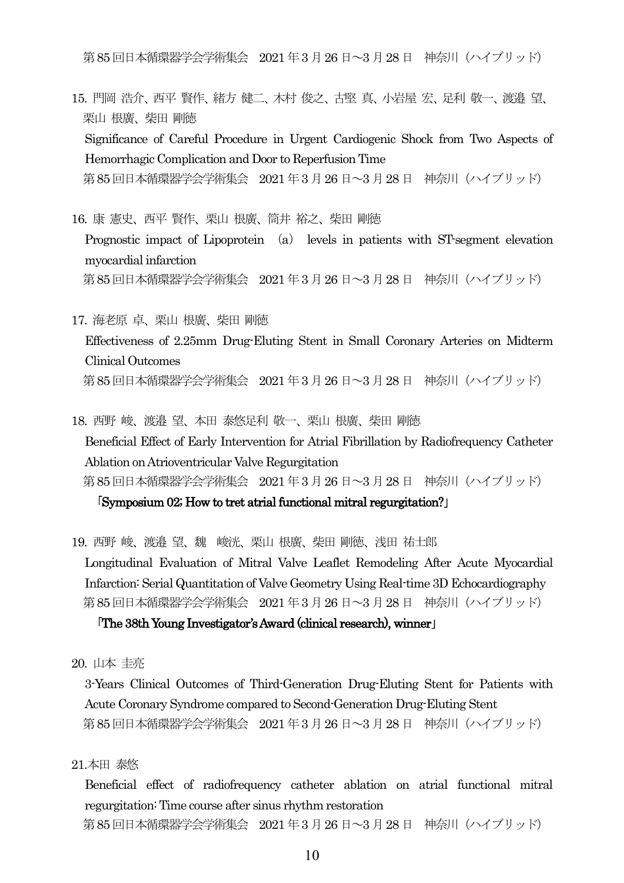第85 回日本循環器学会学術集会 2021 年3 月26 日~3 月28日 神奈川(ハイブリッド)

- 15. 門岡 浩介、西平 賢作、緒方 健二、木村 俊之、古堅 真、小岩屋 宏、足利 敬一、渡邉 望、 栗山 根廣、柴田 剛徳 Significance of Careful Procedure in Urgent Cardiogenic Shock from Two Aspects of Hemorrhagic Complication and Door to Reperfusion Time 第85 回日本循環器学会学術集会 2021 年3 月26 日~3 月28日 神奈川(ハイブリッド)
- 16. 康 憲史、西平 賢作、栗山 根廣、筒井 裕之、柴田 剛徳 Prognostic impact of Lipoprotein (a) levels in patients with ST-segment elevation myocardial infarction 第85 回日本循環器学会学術集会 2021 年3 月26 日~3 月28日 神奈川(ハイブリッド)
- 17. 海老原 卓、栗山 根廣、柴田 剛徳 Effectiveness of 2.25mm Drug-Eluting Stent in Small Coronary Arteries on Midterm Clinical Outcomes 第85 回日本循環器学会学術集会 2021 年3 月26 日~3 月28日 神奈川(ハイブリッド)
- 18. 西野 峻、渡邉 望、本田 泰悠足利 敬一、栗山 根廣、柴田 剛徳 Beneficial Effect of Early Intervention for Atrial Fibrillation by Radiofrequency Catheter Ablation on Atrioventricular Valve Regurgitation 第85 回日本循環器学会学術集会 2021 年3 月26 日~3 月28日 神奈川(ハイブリッド)

#### 「Symposium 02; How to tret atrial functional mitral regurgitation?」

19. 西野 峻、渡邉 望、魏 峻洸、栗山 根廣、柴田 剛徳、浅田 祐士郎 Longitudinal Evaluation of Mitral Valve Leaflet Remodeling After Acute Myocardial Infarction: Serial Quantitation of Valve Geometry Using Real-time 3D Echocardiography 第85 回日本循環器学会学術集会 2021 年3 月26 日~3 月28日 神奈川(ハイブリッド)

#### 「The 38th Young Investigator's Award (clinical research), winner」

20. 山本 圭亮

3-Years Clinical Outcomes of Third-Generation Drug-Eluting Stent for Patients with Acute Coronary Syndrome compared to Second-Generation Drug-Eluting Stent 第85 回日本循環器学会学術集会 2021 年3 月26 日~3 月28日 神奈川(ハイブリッド)

21.本田 泰悠

Beneficial effect of radiofrequency catheter ablation on atrial functional mitral regurgitation: Time course after sinus rhythm restoration 第85 回日本循環器学会学術集会 2021 年3 月26 日~3 月28日 神奈川(ハイブリッド)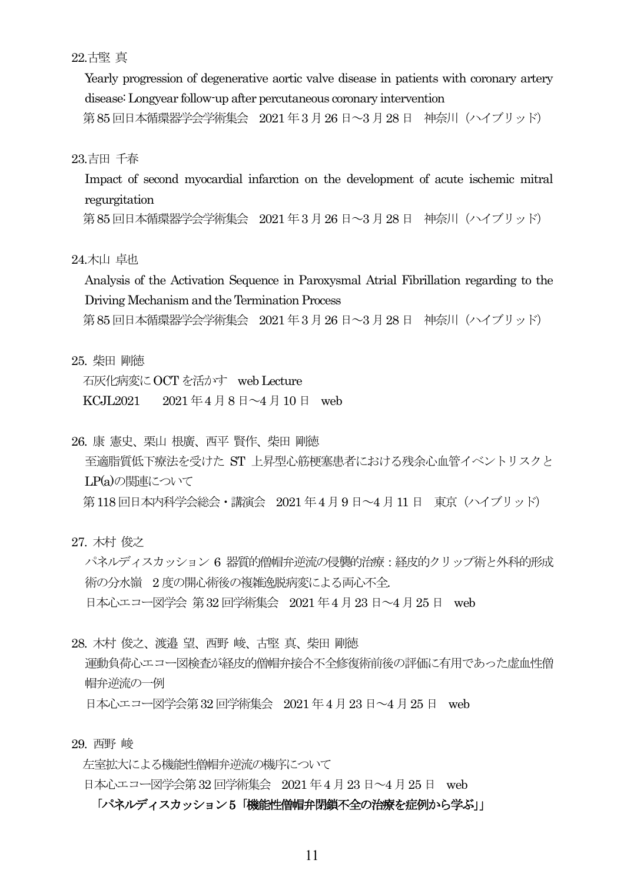22.古堅 真

Yearly progression of degenerative aortic valve disease in patients with coronary artery disease: Longyear follow-up after percutaneous coronary intervention

第85 回日本循環器学会学術集会 2021 年3 月26 日~3 月28日 神奈川(ハイブリッド)

#### 23.吉田 千春

Impact of second myocardial infarction on the development of acute ischemic mitral regurgitation

第85 回日本循環器学会学術集会 2021 年3 月26 日~3 月28日 神奈川(ハイブリッド)

#### 24.木山 卓也

Analysis of the Activation Sequence in Paroxysmal Atrial Fibrillation regarding to the Driving Mechanism and the Termination Process

第85 回日本循環器学会学術集会 2021 年3 月26 日~3 月28日 神奈川(ハイブリッド)

25. 柴田 剛徳

石灰化病変にOCT を活かす web Lecture KCJL2021 2021年4月8日~4月10日 web

26. 康 憲史、栗山 根廣、西平 賢作、柴田 剛徳

至適脂質低下療法を受けた ST 上昇型心筋梗塞患者における残余心血管イベントリスクと LP(a)の関連について 第118回日本内科学会総会・講演会 2021 年4月9日~4月11日 東京 (ハイブリッド)

27. 木村 俊之

パネルディスカッション 6 器質的僧帽弁逆流の侵襲的治療:経皮的クリップ術と外科的形成 術の分水嶺 2 度の開心術後の複雑逸脱病変による両心不全. 日本心エコー図学会 第32 回学術集会 2021 年4月23 日~4 月25 日 web

28. 木村 俊之、渡邉 望、西野 峻、古堅 真、柴田 剛徳

運動負荷心エコー図検査が経皮的僧帽弁接合不全修復術前後の評価に有用であった虚血性僧 帽弁逆流の一例

日本心エコー図学会第32 回学術集会 2021 年4月23 日~4 月25 日 web

29. 西野 峻

左室拡大による機能性僧帽弁逆流の機序について

日本心エコー図学会第32 回学術集会 2021 年4月23 日~4 月25 日 web

#### 「パネルディスカッション5「機能性僧帽弁閉鎖不全の治療を症例から学ぶ」」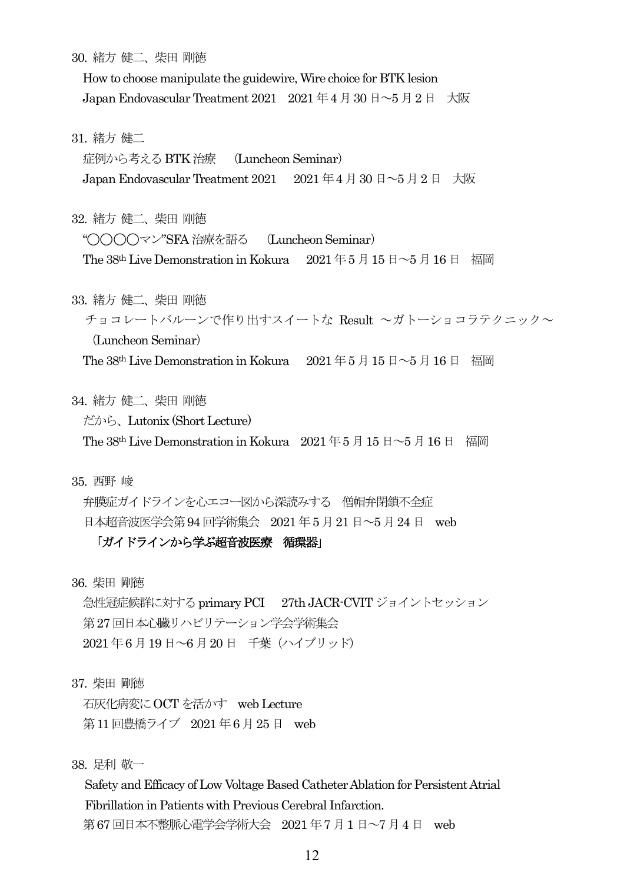30. 緒方 健二、柴田 剛徳

How to choose manipulate the guidewire, Wire choice for BTK lesion Japan Endovascular Treatment 2021 2021 年4月30 日~5月2日 大阪

31. 緒方 健二

症例から考えるBTK治療 (Luncheon Seminar)

Japan Endovascular Treatment 2021 2021 年4月30 日~5月2日 大阪

32. 緒方 健二、柴田 剛徳

"◯◯◯◯マン"SFA 治療を語る (Luncheon Seminar)

The 38<sup>th</sup> Live Demonstration in Kokura 2021年5月15日~5月16日 福岡

33. 緒方 健二、柴田 剛徳

チョコレートバルーンで作り出すスイートな Result ~ガトーショコラテクニック~ (Luncheon Seminar)

The 38<sup>th</sup> Live Demonstration in Kokura 2021年5月15日~5月16日 福岡

34. 緒方 健二、柴田 剛徳

だから、Lutonix (Short Lecture)

The 38<sup>th</sup> Live Demonstration in Kokura 2021年5月15日~5月16日 福岡

35. 西野 峻

弁膜症ガイドラインを心エコー図から深読みする 僧帽弁閉鎖不全症

日本超音波医学会第 94 回学術集会 2021 年 5 月 21 日 ~ 5 月 24 日 web

## 「ガイドラインから学ぶ超音波医療 循環器」

36. 柴田 剛徳

急性冠症候群に対するprimary PCI 27th JACR-CVIT ジョイントセッション 第27回日本心臓リハビリテーション学会学術集会 2021 年6 月19日~6 月20 日 千葉(ハイブリッド)

37. 柴田 剛徳

石灰化病変にOCT を活かす web Lecture 第11 回豊橋ライブ 2021 年6 月25日 web

38. 足利 敬一

Safety and Efficacy of Low Voltage Based Catheter Ablation for Persistent Atrial Fibrillation in Patients with Previous Cerebral Infarction. 第67回日本不整脈心電学会学術大会 2021年7月1日~7月4日 web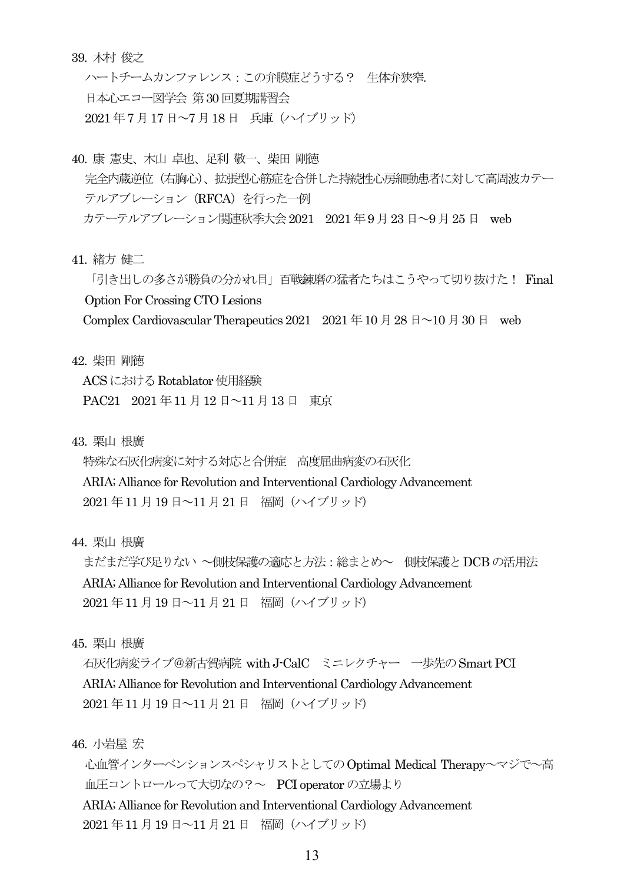#### 39. 木村 俊之

ハートチームカンファレンス:この弁膜症どうする? 生体弁狭窄. 日本心エコー図学会 第30 回夏期講習会 2021 年7 月17日~7 月18 日 兵庫(ハイブリッド)

- 40. 康 憲史、木山 卓也、足利 敬一、柴田 剛徳 完全内蔵逆位(右胸心)、拡張型心筋症を合併した持続性心房細動患者に対して高周波カテー テルアブレーション (RFCA) を行った一例 カテーテルアブレーション関連秋季大会2021 2021 年9 月23 日~9 月25 日 web
- 41. 緒方 健二

「引き出しの多さが勝負の分かれ目」百戦錬磨の猛者たちはこうやって切り抜けた! Final Option For Crossing CTO Lesions Complex Cardiovascular Therapeutics 2021 2021  $\# 10 \nparallel 28 \nparallel \sim 10 \nparallel 30 \nparallel$  web

- 
- 42. 柴田 剛徳

ACS におけるRotablator 使用経験

PAC21 2021 年11 月12 日~11 月13 日 東京

43. 栗山 根廣

特殊な石灰化病変に対する対応と合併症 高度屈曲病変の石灰化

ARIA; Alliance for Revolution and Interventional Cardiology Advancement 2021 年11 月19 日~11月21 日 福岡(ハイブリッド)

44. 栗山 根廣

まだまだ学び足りない ~側枝保護の適応と方法:総まとめ~ 側枝保護とDCB の活用法 ARIA; Alliance for Revolution and Interventional Cardiology Advancement 2021 年11 月19 日~11月21 日 福岡(ハイブリッド)

45. 栗山 根廣

石灰化病変ライブ@新古賀病院 with J-CalC ミニレクチャー 一歩先のSmart PCI ARIA; Alliance for Revolution and Interventional Cardiology Advancement 2021 年11 月19 日~11月21 日 福岡(ハイブリッド)

46. 小岩屋 宏

心血管インターベンションスペシャリストとしてのOptimal Medical Therapy~マジで~高 血圧コントロールって大切なの?~ PCI operator の立場より

ARIA; Alliance for Revolution and Interventional Cardiology Advancement 2021 年11 月19 日~11月21 日 福岡(ハイブリッド)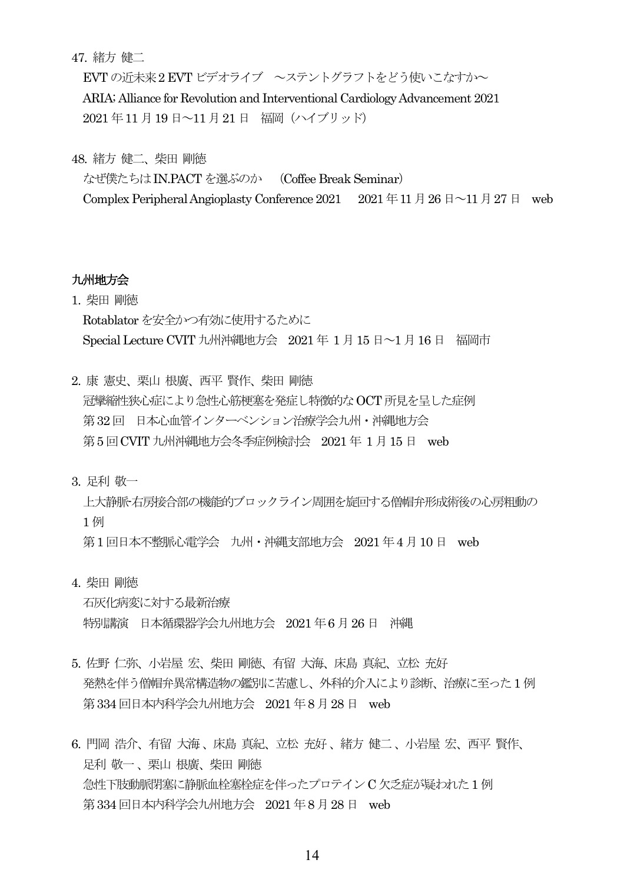47. 緒方 健二

EVT の近未来2 EVT ビデオライブ ~ステントグラフトをどう使いこなすか~ ARIA; Alliance for Revolution and Interventional Cardiology Advancement 2021 2021 年11 月19 日~11月21 日 福岡(ハイブリッド)

48. 緒方 健二、柴田 剛徳

なぜ僕たちはIN.PACTを選ぶのか (Coffee Break Seminar) Complex Peripheral Angioplasty Conference 2021  $2021 \oplus 11 \oplus 26 \oplus 11 \oplus 27 \oplus$  web

## 九州地方会

1. 柴田 剛徳 Rotablatorを安全かつ有効に使用するために Special Lecture CVIT 九州沖縄地方会 2021 年 1 月15 日~1 月16 日 福岡市

2. 康 憲史、栗山 根廣、西平 賢作、柴田 剛徳 冠攣縮性狭心症により急性心筋梗塞を発症し特徴的なOCT 所見を呈した症例 第32回 日本心血管インターベンション治療学会九州・沖縄地方会 第5 回CVIT 九州沖縄地方会冬季症例検討会 2021 年 1 月15 日 web

3. 足利 敬一

上大静脈-右房接合部の機能的ブロックライン周囲を旋回する僧帽弁形成術後の心房粗動の 1 例

第1 回日本不整脈心電学会 九州・沖縄支部地方会 2021 年4 月10 日 web

4. 柴田 剛徳

石灰化病変に対する最新治療 特別講演 日本循環器学会九州地方会 2021 年6 月26 日 沖縄

- 5. 佐野 仁弥、小岩屋 宏、柴田 剛徳、有留 大海、床島 真紀、立松 充好 発熱を伴う僧帽弁異常構造物の鑑別に苦慮し、外科的介入により診断、治療に至った1 例 第334回日本内科学会九州地方会 2021 年8 月28 日 web
- 6. 門岡 浩介、有留 大海、床島 真紀、立松 充好、緒方 健二、小岩屋 宏、西平 賢作、 足利 敬一、栗山 根廣、柴田 剛徳 急性下肢動脈閉塞に静脈血栓塞栓症を伴ったプロテインC 欠乏症が疑われた1 例 第334回日本内科学会九州地方会 2021年8月28日 web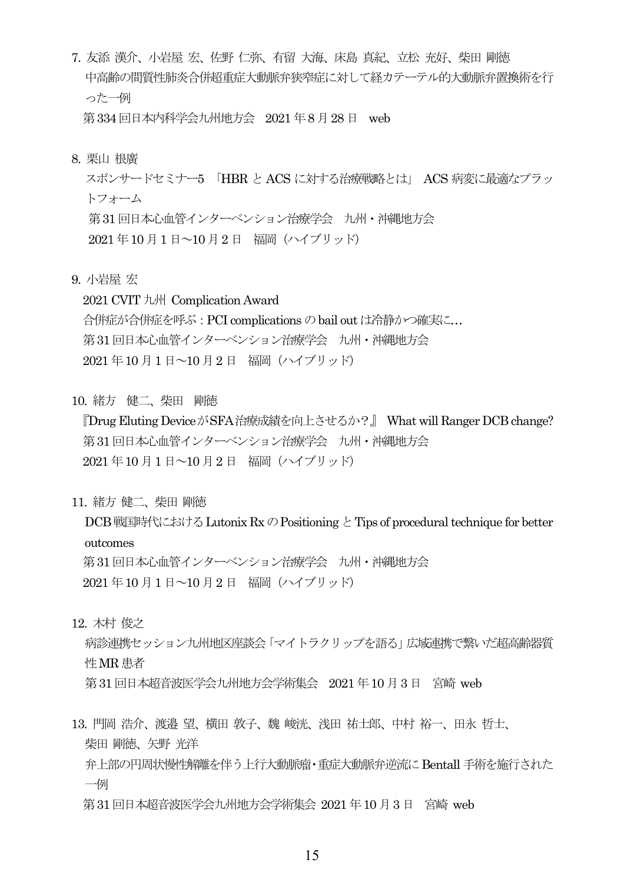- 7. 友添 漢介、小岩屋 宏、佐野 仁弥、有留 大海、床島 真紀、立松 充好、柴田 剛徳 中高齢の間質性肺炎合併超重症大動脈弁狭窄症に対して経カテーテル的大動脈弁置換術を行 った一例 第 334 回日本内科学会九州地方会 2021 年 8 月 28 日 web
- 8. 栗山 根廣

スポンサードセミナー5 「HBR と ACS に対する治療戦略とは」 ACS 病変に最適なプラッ トフォーム 第31回日本心血管インターベンション治療学会 九州・沖縄地方会 2021 年10 月1日~10月2 日 福岡(ハイブリッド)

9. 小岩屋 宏

2021 CVIT九州 Complication Award 合併症が合併症を呼ぶ:PCI complications のbail out は冷静かつ確実に… 第31回日本心血管インターベンション治療学会 九州・沖縄地方会 2021 年10 月1日~10月2 日 福岡(ハイブリッド)

10. 緒方 健二、柴田 剛徳

『Drug Eluting DeviceがSFA治療成績を向上させるか?』 What will Ranger DCB change? 第31 回日本心血管インターベンション治療学会 九州・沖縄地方会 2021 年10 月1日~10月2 日 福岡(ハイブリッド)

11. 緒方 健二、柴田 剛徳

DCB 戦国時代における Lutonix Rx の Positioning と Tips of procedural technique for better outcomes 第31 回日本心血管インターベンション治療学会 九州・沖縄地方会 2021 年10 月1日~10月2 日 福岡(ハイブリッド)

12. 木村 俊之

病診連携セッション九州地区座談会「マイトラクリップを語る」広域連携で繋いだ超高齢器質 性MR 患者 第31回日本超音波医学会九州地方会学術集会 2021年10月3日 宮崎 web

13. 門岡 浩介、渡邉 望、横田 敦子、魏 峻洸、浅田 祐士郎、中村 裕一、田永 哲士、 柴田 剛徳、矢野 光洋 弁上部の円周状慢性解離を伴う上行大動脈瘤・重症大動脈弁逆流にBentall 手術を施行された 一例

第31 回日本超音波医学会九州地方会学術集会 2021 年10 月3 日 宮崎 web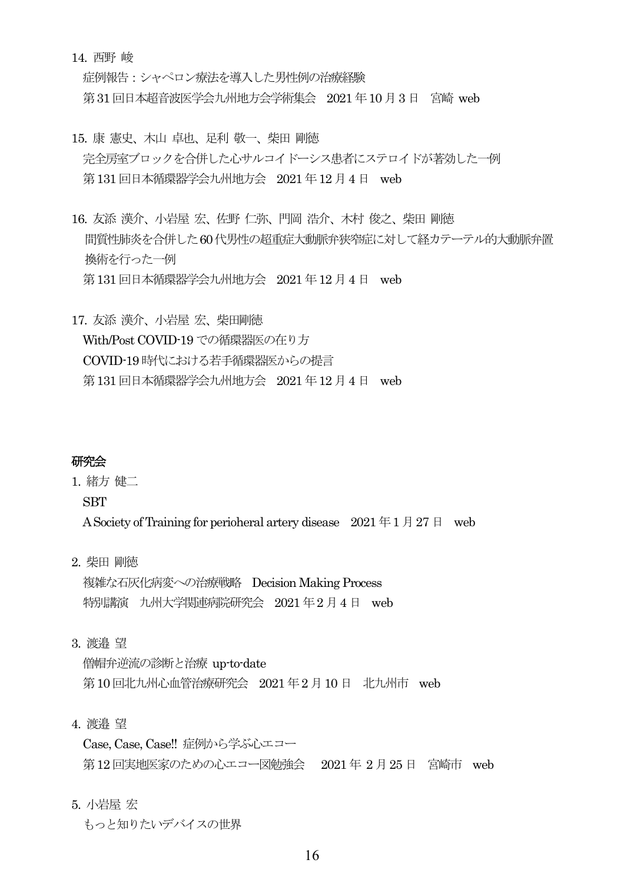14. 西野 峻

症例報告:シャペロン療法を導入した男性例の治療経験 第31 回日本超音波医学会九州地方会学術集会 2021 年10 月3日 宮崎 web

- 15. 康 憲史、木山 卓也、足利 敬一、柴田 剛徳 完全房室ブロックを合併した心サルコイドーシス患者にステロイドが著効した一例 第131回日本循環器学会九州地方会 2021年12月4日 web
- 16. 友添 漢介、小岩屋 宏、佐野 仁弥、門岡 浩介、木村 俊之、柴田 剛徳 間質性肺炎を合併した60代男性の超重症大動脈弁狭窄症に対して経カテーテル的大動脈弁置 換術を行った一例 第131回日本循環器学会九州地方会 2021年12月4日 web
- 17. 友添 漢介、小岩屋 宏、柴田剛徳 With/Post COVID-19 での循環器医の在り方 COVID-19時代における若手循環器医からの提言 第131回日本循環器学会九州地方会 2021年12月4日 web

## 研究会

1. 緒方 健二

**SBT** 

A Society of Training for perioheral artery disease  $2021 \n\equiv 1 \n\equiv 27 \n\equiv \text{web}$ 

2. 柴田 剛徳

複雑な石灰化病変への治療戦略 Decision Making Process 特別講演 九州大学関連病院研究会 2021 年2月4 日 web

3. 渡邉 望

僧帽弁逆流の診断と治療 up-to-date 第10回北九州心血管治療研究会 2021年2月10日 北九州市 web

4. 渡邉 望

Case, Case, Case!! 症例から学ぶ心エコー 第12回実地医家のための心エコー図勉強会 2021年2月25日 宮崎市 web

5. 小岩屋 宏

もっと知りたいデバイスの世界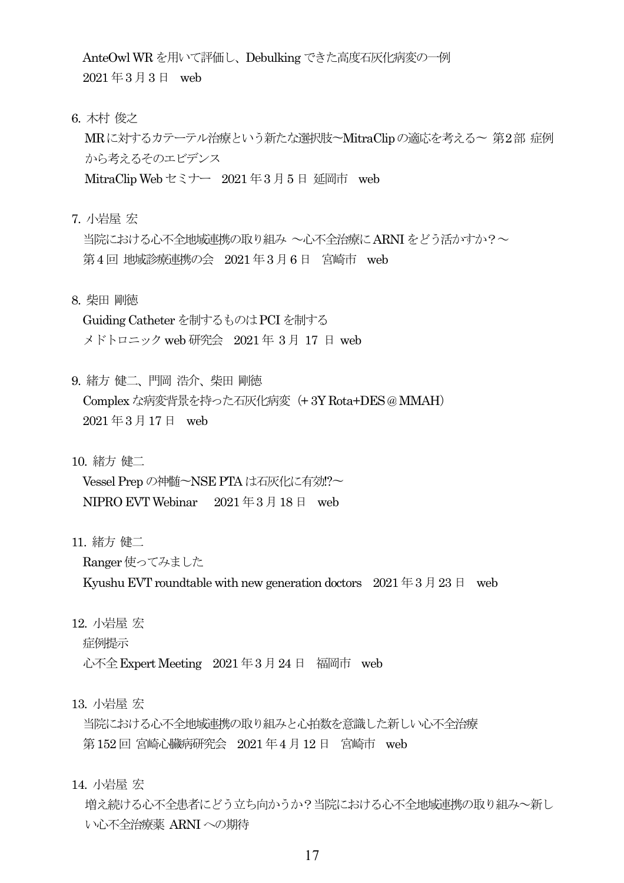AnteOwl WR を用いて評価し、Debulking できた高度石灰化病変の一例 2021 年3 月3 日 web

6. 木村 俊之

MRに対するカテーテル治療という新たな選択肢〜MitraClipの適応を考える〜 第2部 症例 から考えるそのエビデンス

MitraClip Web セミナー 2021 年3 月5 日 延岡市 web

7. 小岩屋 宏

当院における心不全地域連携の取り組み ~心不全治療にARNIをどう活かすか?~ 第4 回 地域診療連携の会 2021 年3 月6日 宮崎市 web

8. 柴田 剛徳

Guiding Catheter を制するものはPCI を制する メドトロニックweb 研究会 2021 年 3 月 17 日 web

9. 緒方 健二、門岡 浩介、柴田 剛徳 Complexな病変背景を持った石灰化病変(+ 3Y Rota+DES @ MMAH) 2021 年3 月17日 web

10. 緒方 健二

Vessel Prepの神髄〜NSE PTA は石灰化に有効!?〜 NIPRO EVT Webinar 2021 年3 月18 日 web

11. 緒方 健二

Ranger使ってみました

Kyushu EVT roundtable with new generation doctors  $2021 \n\pm 3 \n\pm 23 \n\pm 3$ 

12. 小岩屋 宏

症例提示

心不全 Expert Meeting 2021 年3月 24 日 福岡市 web

13. 小岩屋 宏

当院における心不全地域連携の取り組みと心拍数を意識した新しい心不全治療 第152回 宮崎心臓病研究会 2021年4月12日 宮崎市 web

14. 小岩屋 宏

増え続ける心不全患者にどう立ち向かうか?当院における心不全地域連携の取り組み~新し い心不全治療薬 ARNIへの期待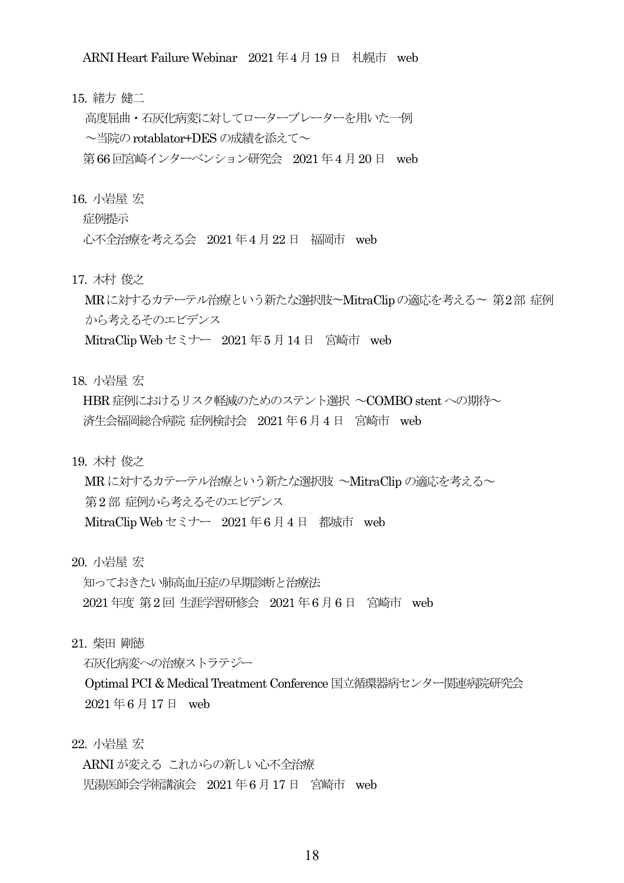ARNI Heart Failure Webinar 2021 年4 月19日 札幌市 web

15. 緒方 健二

高度屈曲・石灰化病変に対してローターブレーターを用いた一例 ~当院のrotablator+DES の成績を添えて~ 第66回宮崎インターベンション研究会 2021年4月20日 web

16. 小岩屋 宏

症例提示

心不全治療を考える会 2021 年4 月22日 福岡市 web

17. 木村 俊之

MRに対するカテーテル治療という新たな選択肢〜MitraClipの適応を考える〜 第2部 症例 から考えるそのエビデンス

MitraClip Web セミナー 2021 年5 月14 日 宮崎市 web

18. 小岩屋 宏

HBR 症例におけるリスク軽減のためのステント選択 ~COMBO stentへの期待~ 済生会福岡総合病院 症例検討会 2021 年6 月4 日 宮崎市 web

19. 木村 俊之

MR に対するカテーテル治療という新たな選択肢 ~MitraClip の適応を考える~ 第2 部 症例から考えるそのエビデンス

MitraClip Web セミナー 2021 年6 月4 日 都城市 web

20. 小岩屋 宏

知っておきたい肺高血圧症の早期診断と治療法 2021 年度 第2回 生涯学習研修会 2021 年6月6 日 宮崎市 web

21. 柴田 剛徳

石灰化病変への治療ストラテジー

Optimal PCI & Medical Treatment Conference 国立循環器病センター関連病院研究会 2021 年6 月17日 web

22. 小岩屋 宏

ARNI が変える これからの新しい心不全治療 児湯医師会学術講演会 2021 年6 月17日 宮崎市 web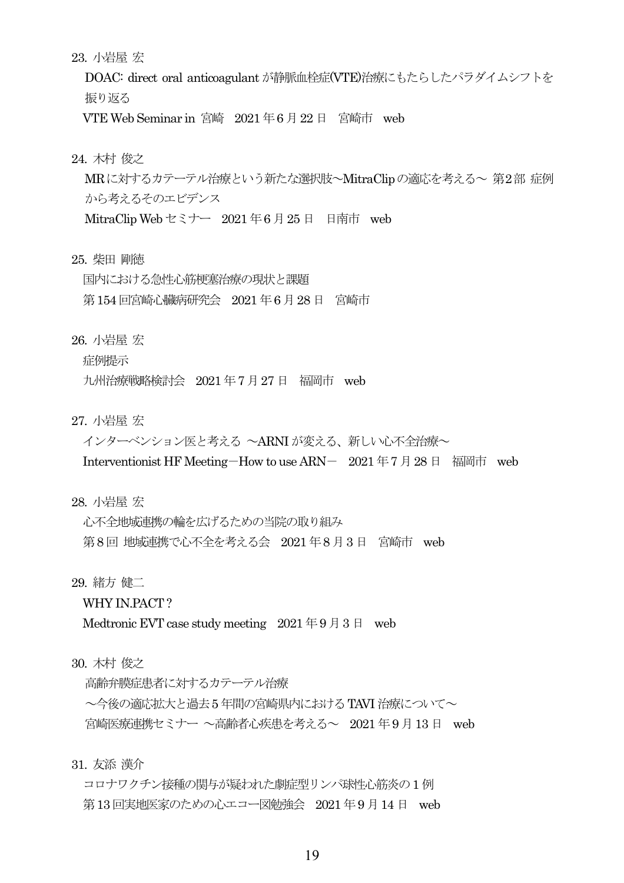23. 小岩屋 宏

DOAC: direct oral anticoagulant が静脈血栓症(VTE)治療にもたらしたパラダイムシフトを 振り返る

VTE Web Seminar in 宮崎 2021 年6 月22日 宮崎市 web

24. 木村 俊之

MRに対するカテーテル治療という新たな選択肢~MitraClipの適応を考える~ 第2部 症例 から考えるそのエビデンス

MitraClip Web セミナー 2021 年6 月25 日 日南市 web

25. 柴田 剛徳

国内における急性心筋梗塞治療の現状と課題 第154回宮崎心臓病研究会 2021 年6 月28 日 宮崎市

26. 小岩屋 宏

症例提示

九州治療戦略検討会 2021 年7 月27 日 福岡市 web

- 27. 小岩屋 宏
	- インターベンション医と考える ~ARNI が変える、新しい心不全治療~

Interventionist HF Meeting-How to use ARN- 2021 年7月28 日 福岡市 web

28. 小岩屋 宏

心不全地域連携の輪を広げるための当院の取り組み 第8回 地域連携で心不全を考える会 2021年8月3日 宮崎市 web

29. 緒方 健二

WHY IN.PACT?

Medtronic EVT case study meeting 2021年9月3日 web

30. 木村 俊之

高齢弁膜症患者に対するカテーテル治療

~今後の適応拡大と過去5 年間の宮崎県内におけるTAVI 治療について~ 宮崎医療連携セミナー ~高齢者心疾患を考える~ 2021 年9 月13 日 web

31. 友添 漢介

コロナワクチン接種の関与が疑われた劇症型リンパ球性心筋炎の1例 第13回実地医家のための心エコー図勉強会 2021年9月14日 web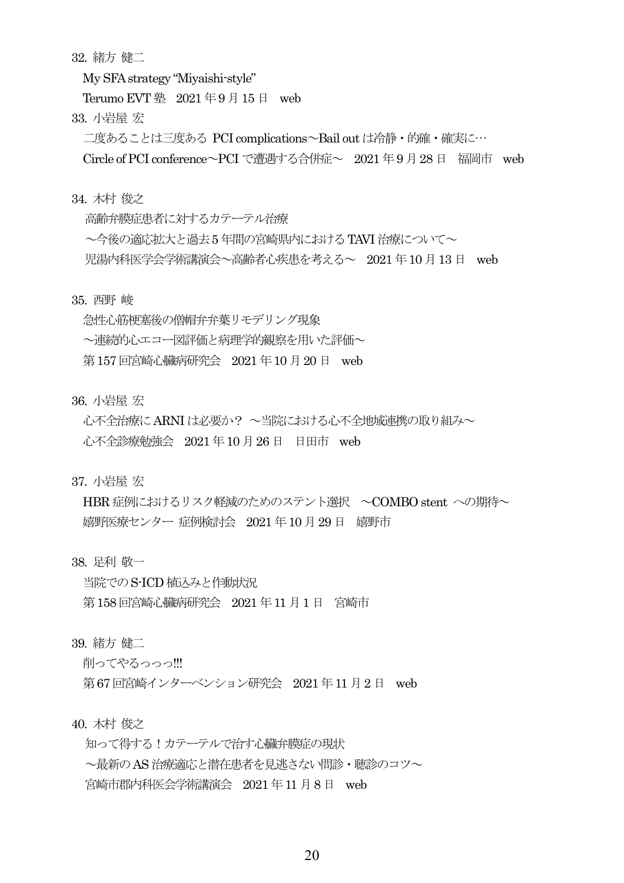32. 緒方 健二

My SFA strategy "Miyaishi-style"

Terumo EVT 塾 2021年9月15日 web

33. 小岩屋 宏

二度あることは三度ある PCI complications~Bail out は冷静・的確・確実に…

Circle of PCI conference~PCI で遭遇する合併症~ 2021 年9 月28 日 福岡市 web

34. 木村 俊之

高齢弁膜症患者に対するカテーテル治療 ~今後の適応拡大と過去5 年間の宮崎県内におけるTAVI 治療について~ 児湯内科医学会学術講演会~高齢者心疾患を考える~ 2021 年10 月13日 web

35. 西野 峻

急性心筋梗塞後の僧帽弁弁葉リモデリング現象 ~連続的心エコー図評価と病理学的観察を用いた評価~ 第157回宮崎心臓病研究会 2021年10月20日 web

36. 小岩屋 宏

心不全治療にARNIは必要か? ~当院における心不全地域連携の取り組み~ 心不全診療勉強会 2021 年10 月26 日 日田市 web

37. 小岩屋 宏

HBR 症例におけるリスク軽減のためのステント選択 ~COMBO stent への期待~ 嬉野医療センター 症例検討会 2021 年10 月29 日 嬉野市

38. 足利 敬一

当院でのS-ICD 植込みと作動状況 第158回宮崎心臓病研究会 2021 年11 月1 日 宮崎市

39. 緒方 健二

削ってやろっっっ!!!

第67回宮崎インターベンション研究会 2021年11月2日 web

40. 木村 俊之

知って得する!カテーテルで治す心臓弁膜症の現状 ~最新のAS治療適応と潜在患者を見逃さない問診・聴診のコツ~ 宮崎市郡内科医会学術講演会 2021 年11 月8 日 web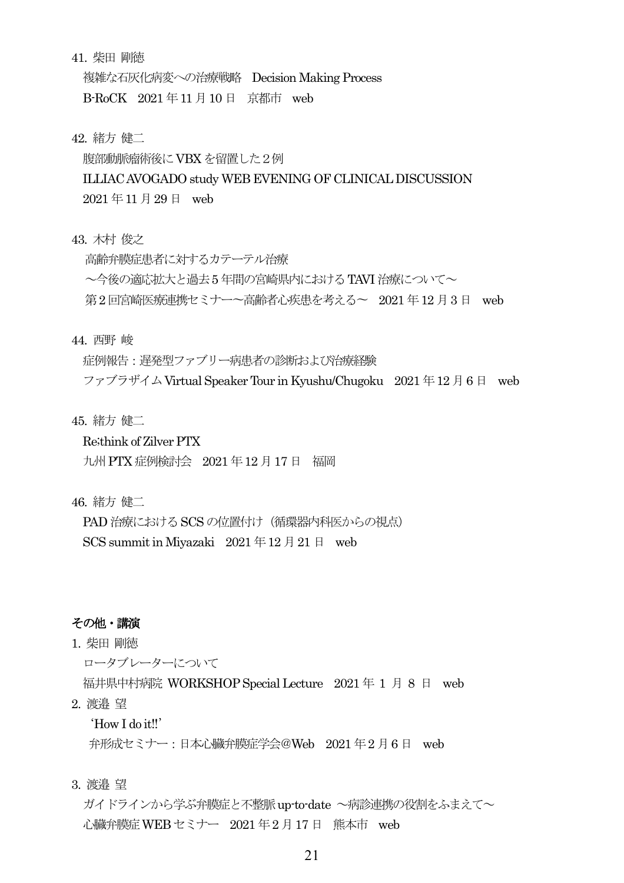41. 柴田 剛徳

複雑な石灰化病変への治療戦略 Decision Making Process

B-RoCK 2021 年11 月10 日 京都市 web

42. 緒方 健二

腹部動脈瘤術後にVBXを留置した2例

ILLIAC AVOGADO study WEB EVENING OF CLINICAL DISCUSSION

2021 年11 月29日 web

43. 木村 俊之

高齢弁膜症患者に対するカテーテル治療 ~今後の適応拡大と過去5 年間の宮崎県内におけるTAVI 治療について~ 第2回宮崎医療連携セミナー〜高齢者心疾患を考える〜 2021年12月3日 web

44. 西野 峻

症例報告:遅発型ファブリー病患者の診断および治療経験 ファブラザイムVirtual Speaker Tour in Kyushu/Chugoku 2021 年12月6 日 web

45. 緒方 健二

Re;think of Zilver PTX

九州PTX症例検討会 2021 年12 月17日 福岡

46. 緒方 健二

PAD 治療における SCS の位置付け (循環器内科医からの視点) SCS summit in Miyazaki  $2021 \n\text{#} 12 \n\text{#} 21 \n\text{#}$  web

#### その他・講演

1. 柴田 剛徳

ロータブレーターについて

福井県中村病院 WORKSHOP Special Lecture 2021 年 1 月 8 日 web

2. 渡邉 望

'How I do it!!'

弁形成セミナー:日本心臓弁膜症学会@Web 2021 年2 月6 日 web

3. 渡邉 望

ガイドラインから学ぶ弁膜症と不整脈up-to-date ~病診連携の役割をふまえて~ 心臓弁膜症WEB セミナー 2021 年2 月17 日 熊本市 web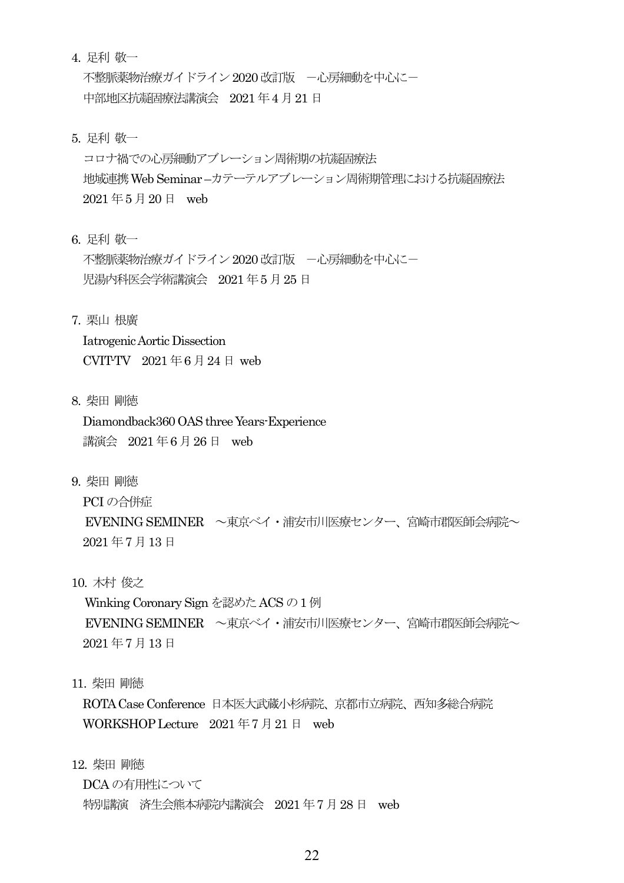4. 足利 敬一

不整脈薬物治療ガイドライン 2020 改訂版 - 一心房細動を中心にー 中部地区抗凝固療法講演会 2021 年4 月21 日

5. 足利 敬一

コロナ禍での心房細動アブレーション周術期の抗凝固療法 地域連携Web Seminar –カテーテルアブレーション周術期管理における抗凝固療法 2021 年5 月20日 web

6. 足利 敬一

不整脈薬物治療ガイドライン 2020 改訂版 - 一心房細動を中心に一 児湯内科医会学術講演会 2021 年5 月25 日

7. 栗山 根廣

Iatrogenic Aortic Dissection CVIT-TV  $2021 \n\text{ } \# 6 \n\text{ } \# 24 \n\text{ } \# 1$  web

8. 柴田 剛徳

Diamondback360 OAS three Years-Experience 講演会 2021年6月26日 web

9. 柴田 剛徳

PCI の合併症 EVENING SEMINER ~東京ベイ・浦安市川医療センター、宮崎市郡医師会病院~ 2021 年7 月13日

10. 木村 俊之

Winking Coronary Sign を認めた ACS の 1 例 EVENING SEMINER へ東京ベイ・浦安市川医療センター、宮崎市郡医師会病院へ 2021 年7 月13日

11. 柴田 剛徳

ROTA Case Conference 日本医大武蔵小杉病院、京都市立病院、西知多総合病院 WORKSHOP Lecture 2021年7月21日 web

12. 柴田 剛徳

DCA の有用性について

特別講演 済生会熊本病院内講演会 2021 年7月28 日 web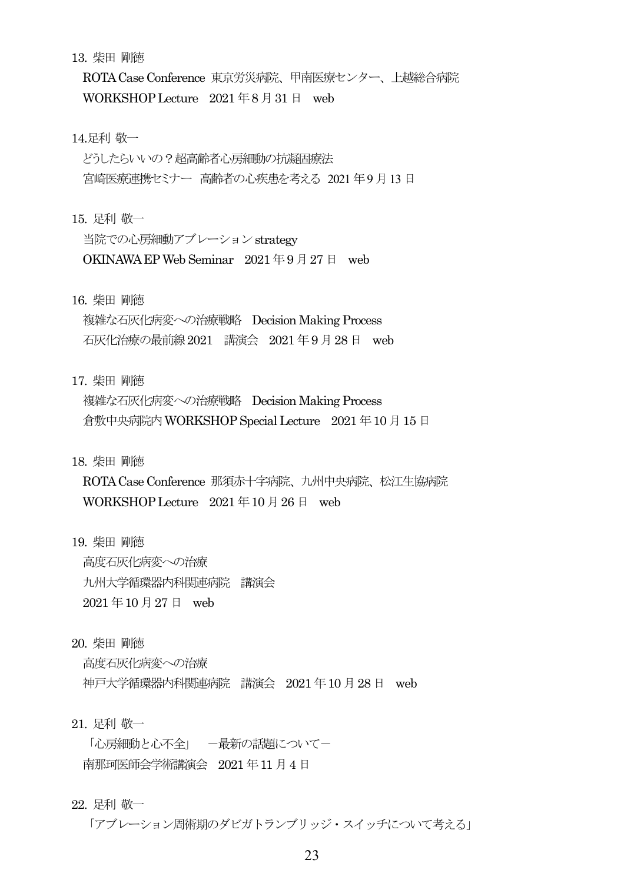13. 柴田 剛徳

ROTA Case Conference 東京労災病院、甲南医療センター、上越総合病院 WORKSHOP Lecture 2021年8月31日 web

#### 14.足利 敬一

どうしたらいいの?超高齢者心房細動の抗凝固療法 宮崎医療連携セミナー 高齢者の心疾患を考える 2021 年9 月13 日

15. 足利 敬一

当院での心房細動アブレーションstrategy OKINAWA EP Web Seminar  $2021 \n\equiv 9 \n\equiv 27 \n\equiv$  web

## 16. 柴田 剛徳

複雑な石灰化病変への治療戦略 Decision Making Process 石灰化治療の最前線2021 講演会 2021 年9 月28 日 web

17. 柴田 剛徳

複雑な石灰化病変への治療戦略 Decision Making Process 倉敷中央病院内WORKSHOP Special Lecture 2021 年10 月15日

18. 柴田 剛徳

ROTA Case Conference 那須赤十字病院、九州中央病院、松江生協病院 WORKSHOP Lecture  $2021 \n\equiv 10 \n\equiv 26 \n\equiv \text{web}$ 

19. 柴田 剛徳

高度石灰化病変への治療 九州大学循環器内科関連病院 講演会 2021 年10 月27 日 web

20. 柴田 剛徳

高度石灰化病変への治療

神戸大学循環器内科関連病院 講演会 2021 年10 月28 日 web

21. 足利 敬一

「心房細動と心不全」 一最新の話題についてー 南那珂医師会学術講演会 2021 年11 月4日

22. 足利 敬一

「アブレーション周術期のダビガトランブリッジ・スイッチについて考える」